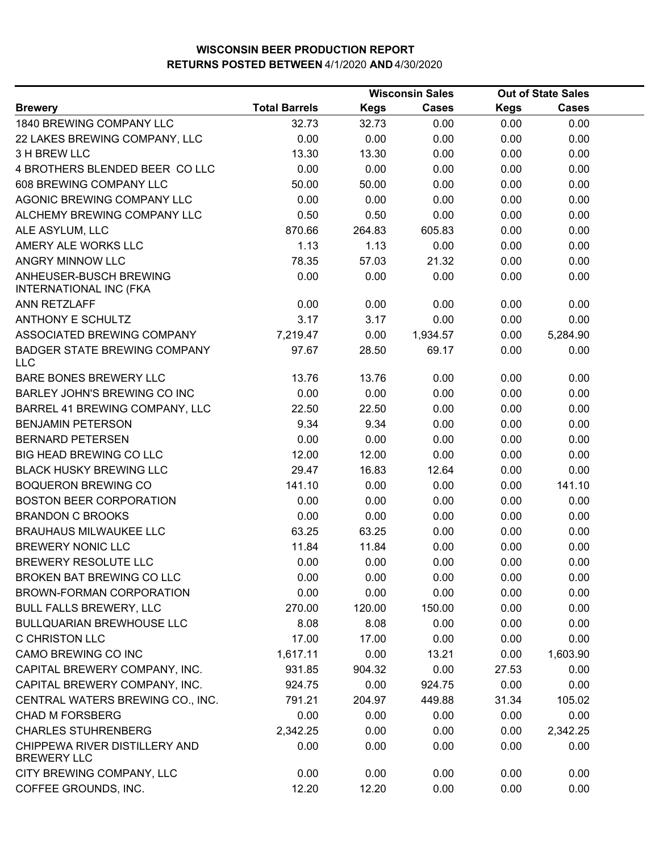|                                                         |                      | Out of State Sales |              |             |              |  |
|---------------------------------------------------------|----------------------|--------------------|--------------|-------------|--------------|--|
| <b>Brewery</b>                                          | <b>Total Barrels</b> | <b>Kegs</b>        | <b>Cases</b> | <b>Kegs</b> | <b>Cases</b> |  |
| 1840 BREWING COMPANY LLC                                | 32.73                | 32.73              | 0.00         | 0.00        | 0.00         |  |
| 22 LAKES BREWING COMPANY, LLC                           | 0.00                 | 0.00               | 0.00         | 0.00        | 0.00         |  |
| 3 H BREW LLC                                            | 13.30                | 13.30              | 0.00         | 0.00        | 0.00         |  |
| 4 BROTHERS BLENDED BEER CO LLC                          | 0.00                 | 0.00               | 0.00         | 0.00        | 0.00         |  |
| 608 BREWING COMPANY LLC                                 | 50.00                | 50.00              | 0.00         | 0.00        | 0.00         |  |
| AGONIC BREWING COMPANY LLC                              | 0.00                 | 0.00               | 0.00         | 0.00        | 0.00         |  |
| ALCHEMY BREWING COMPANY LLC                             | 0.50                 | 0.50               | 0.00         | 0.00        | 0.00         |  |
| ALE ASYLUM, LLC                                         | 870.66               | 264.83             | 605.83       | 0.00        | 0.00         |  |
| AMERY ALE WORKS LLC                                     | 1.13                 | 1.13               | 0.00         | 0.00        | 0.00         |  |
| ANGRY MINNOW LLC                                        | 78.35                | 57.03              | 21.32        | 0.00        | 0.00         |  |
| ANHEUSER-BUSCH BREWING<br><b>INTERNATIONAL INC (FKA</b> | 0.00                 | 0.00               | 0.00         | 0.00        | 0.00         |  |
| ANN RETZLAFF                                            | 0.00                 | 0.00               | 0.00         | 0.00        | 0.00         |  |
| <b>ANTHONY E SCHULTZ</b>                                | 3.17                 | 3.17               | 0.00         | 0.00        | 0.00         |  |
| ASSOCIATED BREWING COMPANY                              | 7,219.47             | 0.00               | 1,934.57     | 0.00        | 5,284.90     |  |
| <b>BADGER STATE BREWING COMPANY</b><br><b>LLC</b>       | 97.67                | 28.50              | 69.17        | 0.00        | 0.00         |  |
| BARE BONES BREWERY LLC                                  | 13.76                | 13.76              | 0.00         | 0.00        | 0.00         |  |
| BARLEY JOHN'S BREWING CO INC                            | 0.00                 | 0.00               | 0.00         | 0.00        | 0.00         |  |
| BARREL 41 BREWING COMPANY, LLC                          | 22.50                | 22.50              | 0.00         | 0.00        | 0.00         |  |
| <b>BENJAMIN PETERSON</b>                                | 9.34                 | 9.34               | 0.00         | 0.00        | 0.00         |  |
| <b>BERNARD PETERSEN</b>                                 | 0.00                 | 0.00               | 0.00         | 0.00        | 0.00         |  |
| <b>BIG HEAD BREWING CO LLC</b>                          | 12.00                | 12.00              | 0.00         | 0.00        | 0.00         |  |
| <b>BLACK HUSKY BREWING LLC</b>                          | 29.47                | 16.83              | 12.64        | 0.00        | 0.00         |  |
| <b>BOQUERON BREWING CO</b>                              | 141.10               | 0.00               | 0.00         | 0.00        | 141.10       |  |
| <b>BOSTON BEER CORPORATION</b>                          | 0.00                 | 0.00               | 0.00         | 0.00        | 0.00         |  |
| <b>BRANDON C BROOKS</b>                                 | 0.00                 | 0.00               | 0.00         | 0.00        | 0.00         |  |
| <b>BRAUHAUS MILWAUKEE LLC</b>                           | 63.25                | 63.25              | 0.00         | 0.00        | 0.00         |  |
| <b>BREWERY NONIC LLC</b>                                | 11.84                | 11.84              | 0.00         | 0.00        | 0.00         |  |
| <b>BREWERY RESOLUTE LLC</b>                             | 0.00                 | 0.00               | 0.00         | 0.00        | 0.00         |  |
| <b>BROKEN BAT BREWING CO LLC</b>                        | 0.00                 | 0.00               | 0.00         | 0.00        | 0.00         |  |
| BROWN-FORMAN CORPORATION                                | 0.00                 | 0.00               | 0.00         | 0.00        | 0.00         |  |
| <b>BULL FALLS BREWERY, LLC</b>                          | 270.00               | 120.00             | 150.00       | 0.00        | 0.00         |  |
| <b>BULLQUARIAN BREWHOUSE LLC</b>                        | 8.08                 | 8.08               | 0.00         | 0.00        | 0.00         |  |
| C CHRISTON LLC                                          | 17.00                | 17.00              | 0.00         | 0.00        | 0.00         |  |
| CAMO BREWING CO INC                                     | 1,617.11             | 0.00               | 13.21        | 0.00        | 1,603.90     |  |
| CAPITAL BREWERY COMPANY, INC.                           | 931.85               | 904.32             | 0.00         | 27.53       | 0.00         |  |
| CAPITAL BREWERY COMPANY, INC.                           | 924.75               | 0.00               | 924.75       | 0.00        | 0.00         |  |
| CENTRAL WATERS BREWING CO., INC.                        | 791.21               | 204.97             | 449.88       | 31.34       | 105.02       |  |
| <b>CHAD M FORSBERG</b>                                  | 0.00                 | 0.00               | 0.00         | 0.00        | 0.00         |  |
| <b>CHARLES STUHRENBERG</b>                              | 2,342.25             | 0.00               | 0.00         | 0.00        | 2,342.25     |  |
| CHIPPEWA RIVER DISTILLERY AND<br><b>BREWERY LLC</b>     | 0.00                 | 0.00               | 0.00         | 0.00        | 0.00         |  |
| CITY BREWING COMPANY, LLC                               | 0.00                 | 0.00               | 0.00         | 0.00        | 0.00         |  |
| COFFEE GROUNDS, INC.                                    | 12.20                | 12.20              | 0.00         | 0.00        | 0.00         |  |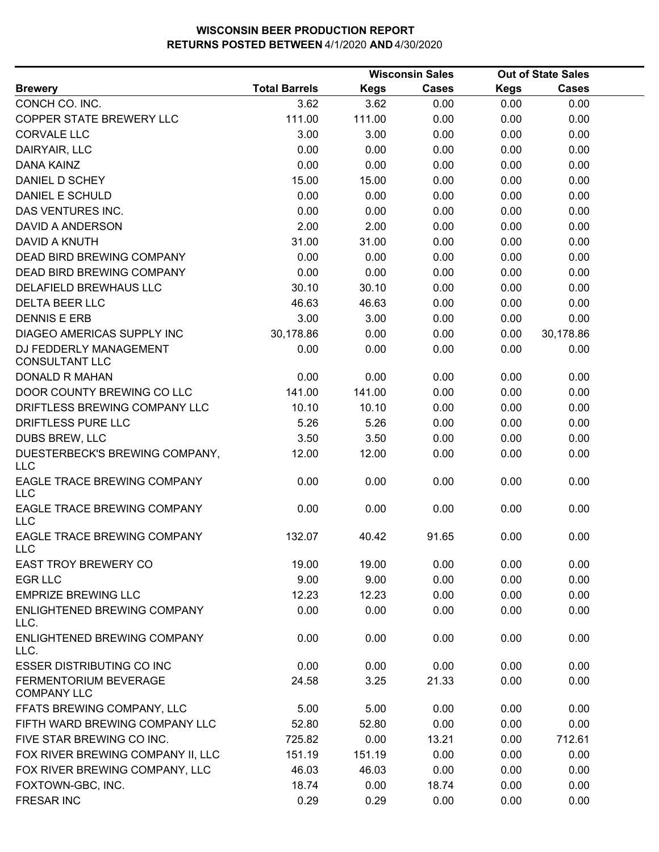|                                                    |                      | <b>Wisconsin Sales</b> |              | <b>Out of State Sales</b> |              |  |
|----------------------------------------------------|----------------------|------------------------|--------------|---------------------------|--------------|--|
| <b>Brewery</b>                                     | <b>Total Barrels</b> | <b>Kegs</b>            | <b>Cases</b> | <b>Kegs</b>               | <b>Cases</b> |  |
| CONCH CO. INC.                                     | 3.62                 | 3.62                   | 0.00         | 0.00                      | 0.00         |  |
| COPPER STATE BREWERY LLC                           | 111.00               | 111.00                 | 0.00         | 0.00                      | 0.00         |  |
| <b>CORVALE LLC</b>                                 | 3.00                 | 3.00                   | 0.00         | 0.00                      | 0.00         |  |
| DAIRYAIR, LLC                                      | 0.00                 | 0.00                   | 0.00         | 0.00                      | 0.00         |  |
| <b>DANA KAINZ</b>                                  | 0.00                 | 0.00                   | 0.00         | 0.00                      | 0.00         |  |
| DANIEL D SCHEY                                     | 15.00                | 15.00                  | 0.00         | 0.00                      | 0.00         |  |
| DANIEL E SCHULD                                    | 0.00                 | 0.00                   | 0.00         | 0.00                      | 0.00         |  |
| DAS VENTURES INC.                                  | 0.00                 | 0.00                   | 0.00         | 0.00                      | 0.00         |  |
| <b>DAVID A ANDERSON</b>                            | 2.00                 | 2.00                   | 0.00         | 0.00                      | 0.00         |  |
| <b>DAVID A KNUTH</b>                               | 31.00                | 31.00                  | 0.00         | 0.00                      | 0.00         |  |
| DEAD BIRD BREWING COMPANY                          | 0.00                 | 0.00                   | 0.00         | 0.00                      | 0.00         |  |
| DEAD BIRD BREWING COMPANY                          | 0.00                 | 0.00                   | 0.00         | 0.00                      | 0.00         |  |
| DELAFIELD BREWHAUS LLC                             | 30.10                | 30.10                  | 0.00         | 0.00                      | 0.00         |  |
| <b>DELTA BEER LLC</b>                              | 46.63                | 46.63                  | 0.00         | 0.00                      | 0.00         |  |
| <b>DENNIS E ERB</b>                                | 3.00                 | 3.00                   | 0.00         | 0.00                      | 0.00         |  |
| DIAGEO AMERICAS SUPPLY INC                         | 30,178.86            | 0.00                   | 0.00         | 0.00                      | 30,178.86    |  |
| DJ FEDDERLY MANAGEMENT<br><b>CONSULTANT LLC</b>    | 0.00                 | 0.00                   | 0.00         | 0.00                      | 0.00         |  |
| <b>DONALD R MAHAN</b>                              | 0.00                 | 0.00                   | 0.00         | 0.00                      | 0.00         |  |
| DOOR COUNTY BREWING CO LLC                         | 141.00               | 141.00                 | 0.00         | 0.00                      | 0.00         |  |
| DRIFTLESS BREWING COMPANY LLC                      | 10.10                | 10.10                  | 0.00         | 0.00                      | 0.00         |  |
| DRIFTLESS PURE LLC                                 | 5.26                 | 5.26                   | 0.00         | 0.00                      | 0.00         |  |
| DUBS BREW, LLC                                     | 3.50                 | 3.50                   | 0.00         | 0.00                      | 0.00         |  |
| DUESTERBECK'S BREWING COMPANY,<br><b>LLC</b>       | 12.00                | 12.00                  | 0.00         | 0.00                      | 0.00         |  |
| EAGLE TRACE BREWING COMPANY<br><b>LLC</b>          | 0.00                 | 0.00                   | 0.00         | 0.00                      | 0.00         |  |
| EAGLE TRACE BREWING COMPANY<br><b>LLC</b>          | 0.00                 | 0.00                   | 0.00         | 0.00                      | 0.00         |  |
| EAGLE TRACE BREWING COMPANY<br><b>LLC</b>          | 132.07               | 40.42                  | 91.65        | 0.00                      | 0.00         |  |
| <b>EAST TROY BREWERY CO</b>                        | 19.00                | 19.00                  | 0.00         | 0.00                      | 0.00         |  |
| <b>EGR LLC</b>                                     | 9.00                 | 9.00                   | 0.00         | 0.00                      | 0.00         |  |
| <b>EMPRIZE BREWING LLC</b>                         | 12.23                | 12.23                  | 0.00         | 0.00                      | 0.00         |  |
| ENLIGHTENED BREWING COMPANY<br>LLC.                | 0.00                 | 0.00                   | 0.00         | 0.00                      | 0.00         |  |
| ENLIGHTENED BREWING COMPANY<br>LLC.                | 0.00                 | 0.00                   | 0.00         | 0.00                      | 0.00         |  |
| <b>ESSER DISTRIBUTING CO INC</b>                   | 0.00                 | 0.00                   | 0.00         | 0.00                      | 0.00         |  |
| <b>FERMENTORIUM BEVERAGE</b><br><b>COMPANY LLC</b> | 24.58                | 3.25                   | 21.33        | 0.00                      | 0.00         |  |
| FFATS BREWING COMPANY, LLC                         | 5.00                 | 5.00                   | 0.00         | 0.00                      | 0.00         |  |
| FIFTH WARD BREWING COMPANY LLC                     | 52.80                | 52.80                  | 0.00         | 0.00                      | 0.00         |  |
| FIVE STAR BREWING CO INC.                          | 725.82               | 0.00                   | 13.21        | 0.00                      | 712.61       |  |
| FOX RIVER BREWING COMPANY II, LLC                  | 151.19               | 151.19                 | 0.00         | 0.00                      | 0.00         |  |
| FOX RIVER BREWING COMPANY, LLC                     | 46.03                | 46.03                  | 0.00         | 0.00                      | 0.00         |  |
| FOXTOWN-GBC, INC.                                  | 18.74                | 0.00                   | 18.74        | 0.00                      | 0.00         |  |
| <b>FRESAR INC</b>                                  | 0.29                 | 0.29                   | 0.00         | 0.00                      | 0.00         |  |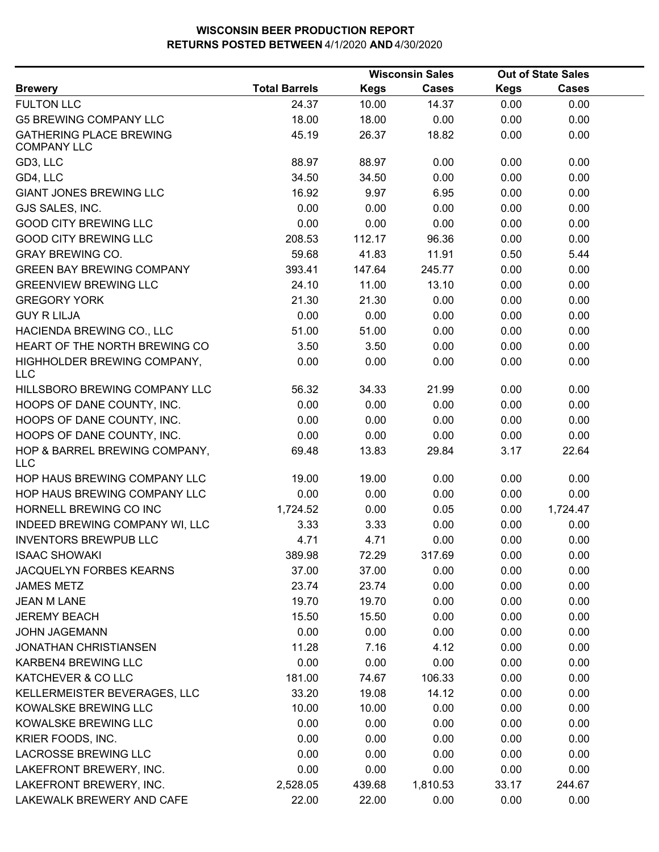|                                                      |                      | <b>Wisconsin Sales</b> |              |             | <b>Out of State Sales</b> |  |
|------------------------------------------------------|----------------------|------------------------|--------------|-------------|---------------------------|--|
| <b>Brewery</b>                                       | <b>Total Barrels</b> | <b>Kegs</b>            | <b>Cases</b> | <b>Kegs</b> | <b>Cases</b>              |  |
| <b>FULTON LLC</b>                                    | 24.37                | 10.00                  | 14.37        | 0.00        | 0.00                      |  |
| <b>G5 BREWING COMPANY LLC</b>                        | 18.00                | 18.00                  | 0.00         | 0.00        | 0.00                      |  |
| <b>GATHERING PLACE BREWING</b><br><b>COMPANY LLC</b> | 45.19                | 26.37                  | 18.82        | 0.00        | 0.00                      |  |
| GD3, LLC                                             | 88.97                | 88.97                  | 0.00         | 0.00        | 0.00                      |  |
| GD4, LLC                                             | 34.50                | 34.50                  | 0.00         | 0.00        | 0.00                      |  |
| <b>GIANT JONES BREWING LLC</b>                       | 16.92                | 9.97                   | 6.95         | 0.00        | 0.00                      |  |
| GJS SALES, INC.                                      | 0.00                 | 0.00                   | 0.00         | 0.00        | 0.00                      |  |
| <b>GOOD CITY BREWING LLC</b>                         | 0.00                 | 0.00                   | 0.00         | 0.00        | 0.00                      |  |
| <b>GOOD CITY BREWING LLC</b>                         | 208.53               | 112.17                 | 96.36        | 0.00        | 0.00                      |  |
| <b>GRAY BREWING CO.</b>                              | 59.68                | 41.83                  | 11.91        | 0.50        | 5.44                      |  |
| <b>GREEN BAY BREWING COMPANY</b>                     | 393.41               | 147.64                 | 245.77       | 0.00        | 0.00                      |  |
| <b>GREENVIEW BREWING LLC</b>                         | 24.10                | 11.00                  | 13.10        | 0.00        | 0.00                      |  |
| <b>GREGORY YORK</b>                                  | 21.30                | 21.30                  | 0.00         | 0.00        | 0.00                      |  |
| <b>GUY R LILJA</b>                                   | 0.00                 | 0.00                   | 0.00         | 0.00        | 0.00                      |  |
| HACIENDA BREWING CO., LLC                            | 51.00                | 51.00                  | 0.00         | 0.00        | 0.00                      |  |
| HEART OF THE NORTH BREWING CO                        | 3.50                 | 3.50                   | 0.00         | 0.00        | 0.00                      |  |
| HIGHHOLDER BREWING COMPANY,<br><b>LLC</b>            | 0.00                 | 0.00                   | 0.00         | 0.00        | 0.00                      |  |
| HILLSBORO BREWING COMPANY LLC                        | 56.32                | 34.33                  | 21.99        | 0.00        | 0.00                      |  |
| HOOPS OF DANE COUNTY, INC.                           | 0.00                 | 0.00                   | 0.00         | 0.00        | 0.00                      |  |
| HOOPS OF DANE COUNTY, INC.                           | 0.00                 | 0.00                   | 0.00         | 0.00        | 0.00                      |  |
| HOOPS OF DANE COUNTY, INC.                           | 0.00                 | 0.00                   | 0.00         | 0.00        | 0.00                      |  |
| HOP & BARREL BREWING COMPANY,<br><b>LLC</b>          | 69.48                | 13.83                  | 29.84        | 3.17        | 22.64                     |  |
| HOP HAUS BREWING COMPANY LLC                         | 19.00                | 19.00                  | 0.00         | 0.00        | 0.00                      |  |
| HOP HAUS BREWING COMPANY LLC                         | 0.00                 | 0.00                   | 0.00         | 0.00        | 0.00                      |  |
| HORNELL BREWING CO INC                               | 1,724.52             | 0.00                   | 0.05         | 0.00        | 1,724.47                  |  |
| INDEED BREWING COMPANY WI, LLC                       | 3.33                 | 3.33                   | 0.00         | 0.00        | 0.00                      |  |
| <b>INVENTORS BREWPUB LLC</b>                         | 4.71                 | 4.71                   | 0.00         | 0.00        | 0.00                      |  |
| <b>ISAAC SHOWAKI</b>                                 | 389.98               | 72.29                  | 317.69       | 0.00        | 0.00                      |  |
| JACQUELYN FORBES KEARNS                              | 37.00                | 37.00                  | 0.00         | 0.00        | 0.00                      |  |
| <b>JAMES METZ</b>                                    | 23.74                | 23.74                  | 0.00         | 0.00        | 0.00                      |  |
| <b>JEAN M LANE</b>                                   | 19.70                | 19.70                  | 0.00         | 0.00        | 0.00                      |  |
| <b>JEREMY BEACH</b>                                  | 15.50                | 15.50                  | 0.00         | 0.00        | 0.00                      |  |
| <b>JOHN JAGEMANN</b>                                 | 0.00                 | 0.00                   | 0.00         | 0.00        | 0.00                      |  |
| <b>JONATHAN CHRISTIANSEN</b>                         | 11.28                | 7.16                   | 4.12         | 0.00        | 0.00                      |  |
| KARBEN4 BREWING LLC                                  | 0.00                 | 0.00                   | 0.00         | 0.00        | 0.00                      |  |
| KATCHEVER & CO LLC                                   | 181.00               | 74.67                  | 106.33       | 0.00        | 0.00                      |  |
| KELLERMEISTER BEVERAGES, LLC                         | 33.20                | 19.08                  | 14.12        | 0.00        | 0.00                      |  |
| KOWALSKE BREWING LLC                                 | 10.00                | 10.00                  | 0.00         | 0.00        | 0.00                      |  |
| KOWALSKE BREWING LLC                                 | 0.00                 | 0.00                   | 0.00         | 0.00        | 0.00                      |  |
| KRIER FOODS, INC.                                    | 0.00                 | 0.00                   | 0.00         | 0.00        | 0.00                      |  |
| <b>LACROSSE BREWING LLC</b>                          | 0.00                 | 0.00                   | 0.00         | 0.00        | 0.00                      |  |
| LAKEFRONT BREWERY, INC.                              | 0.00                 | 0.00                   | 0.00         | 0.00        | 0.00                      |  |
| LAKEFRONT BREWERY, INC.                              | 2,528.05             | 439.68                 | 1,810.53     | 33.17       | 244.67                    |  |
| LAKEWALK BREWERY AND CAFE                            | 22.00                | 22.00                  | 0.00         | 0.00        | 0.00                      |  |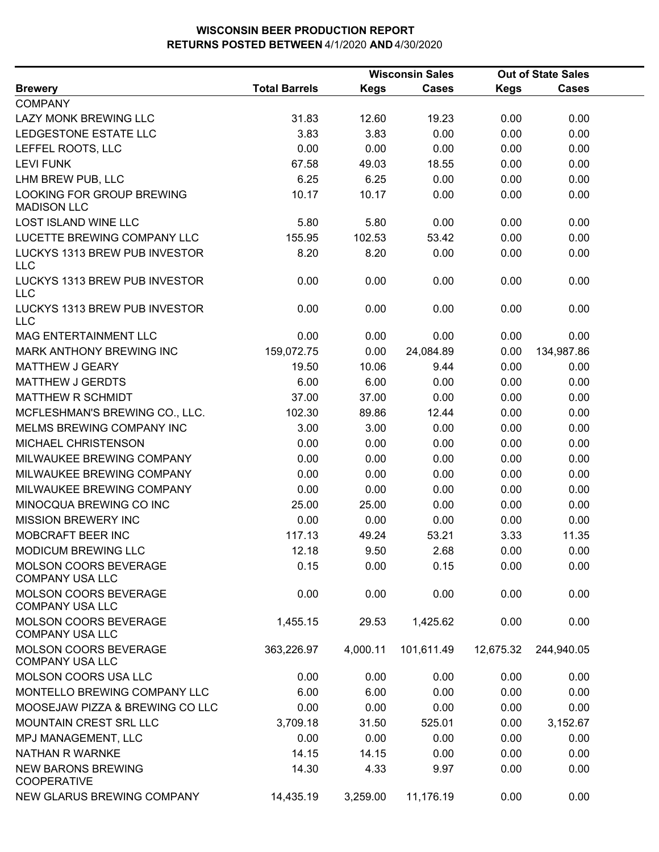|                                                        |                      |             | <b>Wisconsin Sales</b> |             | <b>Out of State Sales</b> |  |
|--------------------------------------------------------|----------------------|-------------|------------------------|-------------|---------------------------|--|
| <b>Brewery</b>                                         | <b>Total Barrels</b> | <b>Kegs</b> | <b>Cases</b>           | <b>Kegs</b> | <b>Cases</b>              |  |
| <b>COMPANY</b>                                         |                      |             |                        |             |                           |  |
| LAZY MONK BREWING LLC                                  | 31.83                | 12.60       | 19.23                  | 0.00        | 0.00                      |  |
| LEDGESTONE ESTATE LLC                                  | 3.83                 | 3.83        | 0.00                   | 0.00        | 0.00                      |  |
| LEFFEL ROOTS, LLC                                      | 0.00                 | 0.00        | 0.00                   | 0.00        | 0.00                      |  |
| <b>LEVI FUNK</b>                                       | 67.58                | 49.03       | 18.55                  | 0.00        | 0.00                      |  |
| LHM BREW PUB, LLC                                      | 6.25                 | 6.25        | 0.00                   | 0.00        | 0.00                      |  |
| LOOKING FOR GROUP BREWING<br><b>MADISON LLC</b>        | 10.17                | 10.17       | 0.00                   | 0.00        | 0.00                      |  |
| <b>LOST ISLAND WINE LLC</b>                            | 5.80                 | 5.80        | 0.00                   | 0.00        | 0.00                      |  |
| LUCETTE BREWING COMPANY LLC                            | 155.95               | 102.53      | 53.42                  | 0.00        | 0.00                      |  |
| LUCKYS 1313 BREW PUB INVESTOR<br><b>LLC</b>            | 8.20                 | 8.20        | 0.00                   | 0.00        | 0.00                      |  |
| LUCKYS 1313 BREW PUB INVESTOR<br><b>LLC</b>            | 0.00                 | 0.00        | 0.00                   | 0.00        | 0.00                      |  |
| LUCKYS 1313 BREW PUB INVESTOR<br><b>LLC</b>            | 0.00                 | 0.00        | 0.00                   | 0.00        | 0.00                      |  |
| MAG ENTERTAINMENT LLC                                  | 0.00                 | 0.00        | 0.00                   | 0.00        | 0.00                      |  |
| MARK ANTHONY BREWING INC                               | 159,072.75           | 0.00        | 24,084.89              | 0.00        | 134,987.86                |  |
| <b>MATTHEW J GEARY</b>                                 | 19.50                | 10.06       | 9.44                   | 0.00        | 0.00                      |  |
| <b>MATTHEW J GERDTS</b>                                | 6.00                 | 6.00        | 0.00                   | 0.00        | 0.00                      |  |
| <b>MATTHEW R SCHMIDT</b>                               | 37.00                | 37.00       | 0.00                   | 0.00        | 0.00                      |  |
| MCFLESHMAN'S BREWING CO., LLC.                         | 102.30               | 89.86       | 12.44                  | 0.00        | 0.00                      |  |
| MELMS BREWING COMPANY INC                              | 3.00                 | 3.00        | 0.00                   | 0.00        | 0.00                      |  |
| MICHAEL CHRISTENSON                                    | 0.00                 | 0.00        | 0.00                   | 0.00        | 0.00                      |  |
| MILWAUKEE BREWING COMPANY                              | 0.00                 | 0.00        | 0.00                   | 0.00        | 0.00                      |  |
| MILWAUKEE BREWING COMPANY                              | 0.00                 | 0.00        | 0.00                   | 0.00        | 0.00                      |  |
| MILWAUKEE BREWING COMPANY                              | 0.00                 | 0.00        | 0.00                   | 0.00        | 0.00                      |  |
| MINOCQUA BREWING CO INC                                | 25.00                | 25.00       | 0.00                   | 0.00        | 0.00                      |  |
| <b>MISSION BREWERY INC</b>                             | 0.00                 | 0.00        | 0.00                   | 0.00        | 0.00                      |  |
| MOBCRAFT BEER INC                                      | 117.13               | 49.24       | 53.21                  | 3.33        | 11.35                     |  |
| MODICUM BREWING LLC                                    | 12.18                | 9.50        | 2.68                   | 0.00        | 0.00                      |  |
| <b>MOLSON COORS BEVERAGE</b><br><b>COMPANY USA LLC</b> | 0.15                 | 0.00        | 0.15                   | 0.00        | 0.00                      |  |
| MOLSON COORS BEVERAGE<br><b>COMPANY USA LLC</b>        | 0.00                 | 0.00        | 0.00                   | 0.00        | 0.00                      |  |
| MOLSON COORS BEVERAGE<br><b>COMPANY USA LLC</b>        | 1,455.15             | 29.53       | 1,425.62               | 0.00        | 0.00                      |  |
| MOLSON COORS BEVERAGE<br><b>COMPANY USA LLC</b>        | 363,226.97           | 4,000.11    | 101,611.49             | 12,675.32   | 244,940.05                |  |
| MOLSON COORS USA LLC                                   | 0.00                 | 0.00        | 0.00                   | 0.00        | 0.00                      |  |
| MONTELLO BREWING COMPANY LLC                           | 6.00                 | 6.00        | 0.00                   | 0.00        | 0.00                      |  |
| MOOSEJAW PIZZA & BREWING CO LLC                        | 0.00                 | 0.00        | 0.00                   | 0.00        | 0.00                      |  |
| MOUNTAIN CREST SRL LLC                                 | 3,709.18             | 31.50       | 525.01                 | 0.00        | 3,152.67                  |  |
| MPJ MANAGEMENT, LLC                                    | 0.00                 | 0.00        | 0.00                   | 0.00        | 0.00                      |  |
| NATHAN R WARNKE                                        | 14.15                | 14.15       | 0.00                   | 0.00        | 0.00                      |  |
| <b>NEW BARONS BREWING</b><br><b>COOPERATIVE</b>        | 14.30                | 4.33        | 9.97                   | 0.00        | 0.00                      |  |
| NEW GLARUS BREWING COMPANY                             | 14,435.19            | 3,259.00    | 11,176.19              | 0.00        | 0.00                      |  |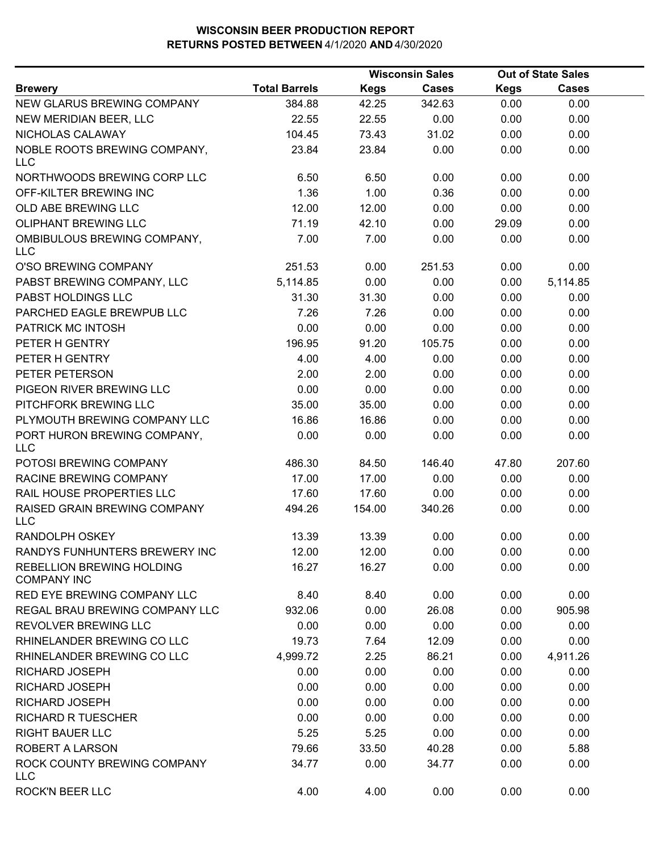|                                                        |                      |             | <b>Wisconsin Sales</b> |             | <b>Out of State Sales</b> |  |
|--------------------------------------------------------|----------------------|-------------|------------------------|-------------|---------------------------|--|
| <b>Brewery</b>                                         | <b>Total Barrels</b> | <b>Kegs</b> | Cases                  | <b>Kegs</b> | <b>Cases</b>              |  |
| NEW GLARUS BREWING COMPANY                             | 384.88               | 42.25       | 342.63                 | 0.00        | 0.00                      |  |
| NEW MERIDIAN BEER, LLC                                 | 22.55                | 22.55       | 0.00                   | 0.00        | 0.00                      |  |
| NICHOLAS CALAWAY                                       | 104.45               | 73.43       | 31.02                  | 0.00        | 0.00                      |  |
| NOBLE ROOTS BREWING COMPANY,<br><b>LLC</b>             | 23.84                | 23.84       | 0.00                   | 0.00        | 0.00                      |  |
| NORTHWOODS BREWING CORP LLC                            | 6.50                 | 6.50        | 0.00                   | 0.00        | 0.00                      |  |
| OFF-KILTER BREWING INC                                 | 1.36                 | 1.00        | 0.36                   | 0.00        | 0.00                      |  |
| OLD ABE BREWING LLC                                    | 12.00                | 12.00       | 0.00                   | 0.00        | 0.00                      |  |
| <b>OLIPHANT BREWING LLC</b>                            | 71.19                | 42.10       | 0.00                   | 29.09       | 0.00                      |  |
| OMBIBULOUS BREWING COMPANY,<br><b>LLC</b>              | 7.00                 | 7.00        | 0.00                   | 0.00        | 0.00                      |  |
| O'SO BREWING COMPANY                                   | 251.53               | 0.00        | 251.53                 | 0.00        | 0.00                      |  |
| PABST BREWING COMPANY, LLC                             | 5,114.85             | 0.00        | 0.00                   | 0.00        | 5,114.85                  |  |
| PABST HOLDINGS LLC                                     | 31.30                | 31.30       | 0.00                   | 0.00        | 0.00                      |  |
| PARCHED EAGLE BREWPUB LLC                              | 7.26                 | 7.26        | 0.00                   | 0.00        | 0.00                      |  |
| PATRICK MC INTOSH                                      | 0.00                 | 0.00        | 0.00                   | 0.00        | 0.00                      |  |
| PETER H GENTRY                                         | 196.95               | 91.20       | 105.75                 | 0.00        | 0.00                      |  |
| PETER H GENTRY                                         | 4.00                 | 4.00        | 0.00                   | 0.00        | 0.00                      |  |
| PETER PETERSON                                         | 2.00                 | 2.00        | 0.00                   | 0.00        | 0.00                      |  |
| PIGEON RIVER BREWING LLC                               | 0.00                 | 0.00        | 0.00                   | 0.00        | 0.00                      |  |
| PITCHFORK BREWING LLC                                  | 35.00                | 35.00       | 0.00                   | 0.00        | 0.00                      |  |
| PLYMOUTH BREWING COMPANY LLC                           | 16.86                | 16.86       | 0.00                   | 0.00        | 0.00                      |  |
| PORT HURON BREWING COMPANY,<br><b>LLC</b>              | 0.00                 | 0.00        | 0.00                   | 0.00        | 0.00                      |  |
| POTOSI BREWING COMPANY                                 | 486.30               | 84.50       | 146.40                 | 47.80       | 207.60                    |  |
| RACINE BREWING COMPANY                                 | 17.00                | 17.00       | 0.00                   | 0.00        | 0.00                      |  |
| RAIL HOUSE PROPERTIES LLC                              | 17.60                | 17.60       | 0.00                   | 0.00        | 0.00                      |  |
| RAISED GRAIN BREWING COMPANY<br>LLC                    | 494.26               | 154.00      | 340.26                 | 0.00        | 0.00                      |  |
| <b>RANDOLPH OSKEY</b>                                  | 13.39                | 13.39       | 0.00                   | 0.00        | 0.00                      |  |
| RANDYS FUNHUNTERS BREWERY INC                          | 12.00                | 12.00       | 0.00                   | 0.00        | 0.00                      |  |
| <b>REBELLION BREWING HOLDING</b><br><b>COMPANY INC</b> | 16.27                | 16.27       | 0.00                   | 0.00        | 0.00                      |  |
| RED EYE BREWING COMPANY LLC                            | 8.40                 | 8.40        | 0.00                   | 0.00        | 0.00                      |  |
| REGAL BRAU BREWING COMPANY LLC                         | 932.06               | 0.00        | 26.08                  | 0.00        | 905.98                    |  |
| REVOLVER BREWING LLC                                   | 0.00                 | 0.00        | 0.00                   | 0.00        | 0.00                      |  |
| RHINELANDER BREWING CO LLC                             | 19.73                | 7.64        | 12.09                  | 0.00        | 0.00                      |  |
| RHINELANDER BREWING CO LLC                             | 4,999.72             | 2.25        | 86.21                  | 0.00        | 4,911.26                  |  |
| <b>RICHARD JOSEPH</b>                                  | 0.00                 | 0.00        | 0.00                   | 0.00        | 0.00                      |  |
| RICHARD JOSEPH                                         | 0.00                 | 0.00        | 0.00                   | 0.00        | 0.00                      |  |
| RICHARD JOSEPH                                         | 0.00                 | 0.00        | 0.00                   | 0.00        | 0.00                      |  |
| <b>RICHARD R TUESCHER</b>                              | 0.00                 | 0.00        | 0.00                   | 0.00        | 0.00                      |  |
| <b>RIGHT BAUER LLC</b>                                 | 5.25                 | 5.25        | 0.00                   | 0.00        | 0.00                      |  |
| <b>ROBERT A LARSON</b>                                 | 79.66                | 33.50       | 40.28                  | 0.00        | 5.88                      |  |
| ROCK COUNTY BREWING COMPANY<br><b>LLC</b>              | 34.77                | 0.00        | 34.77                  | 0.00        | 0.00                      |  |
| ROCK'N BEER LLC                                        | 4.00                 | 4.00        | 0.00                   | 0.00        | 0.00                      |  |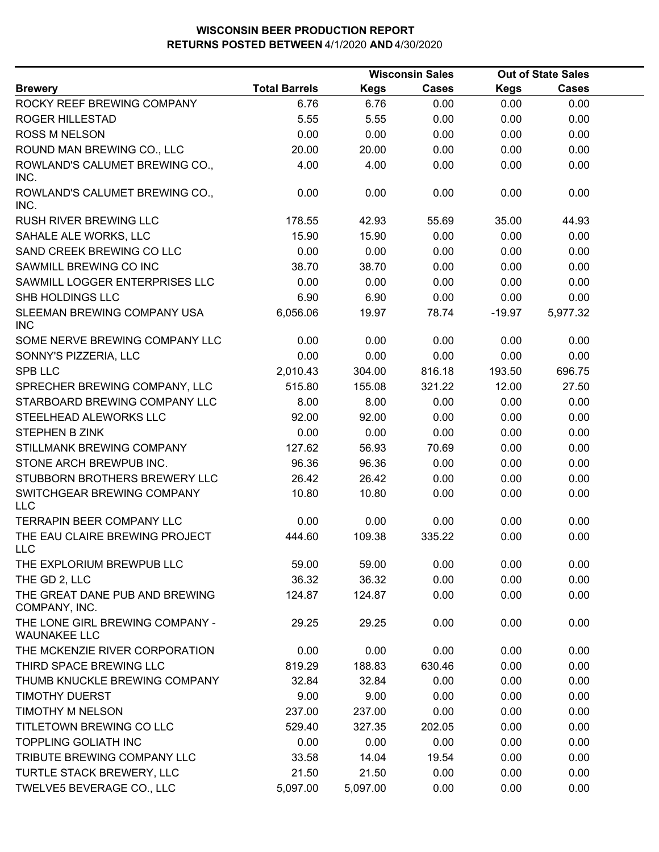|                                                        |                      |             | <b>Wisconsin Sales</b> |             | <b>Out of State Sales</b> |  |
|--------------------------------------------------------|----------------------|-------------|------------------------|-------------|---------------------------|--|
| <b>Brewery</b>                                         | <b>Total Barrels</b> | <b>Kegs</b> | <b>Cases</b>           | <b>Kegs</b> | Cases                     |  |
| ROCKY REEF BREWING COMPANY                             | 6.76                 | 6.76        | 0.00                   | 0.00        | 0.00                      |  |
| <b>ROGER HILLESTAD</b>                                 | 5.55                 | 5.55        | 0.00                   | 0.00        | 0.00                      |  |
| <b>ROSS M NELSON</b>                                   | 0.00                 | 0.00        | 0.00                   | 0.00        | 0.00                      |  |
| ROUND MAN BREWING CO., LLC                             | 20.00                | 20.00       | 0.00                   | 0.00        | 0.00                      |  |
| ROWLAND'S CALUMET BREWING CO.,<br>INC.                 | 4.00                 | 4.00        | 0.00                   | 0.00        | 0.00                      |  |
| ROWLAND'S CALUMET BREWING CO.,<br>INC.                 | 0.00                 | 0.00        | 0.00                   | 0.00        | 0.00                      |  |
| RUSH RIVER BREWING LLC                                 | 178.55               | 42.93       | 55.69                  | 35.00       | 44.93                     |  |
| SAHALE ALE WORKS, LLC                                  | 15.90                | 15.90       | 0.00                   | 0.00        | 0.00                      |  |
| SAND CREEK BREWING CO LLC                              | 0.00                 | 0.00        | 0.00                   | 0.00        | 0.00                      |  |
| SAWMILL BREWING CO INC                                 | 38.70                | 38.70       | 0.00                   | 0.00        | 0.00                      |  |
| SAWMILL LOGGER ENTERPRISES LLC                         | 0.00                 | 0.00        | 0.00                   | 0.00        | 0.00                      |  |
| SHB HOLDINGS LLC                                       | 6.90                 | 6.90        | 0.00                   | 0.00        | 0.00                      |  |
| SLEEMAN BREWING COMPANY USA<br><b>INC</b>              | 6,056.06             | 19.97       | 78.74                  | $-19.97$    | 5,977.32                  |  |
| SOME NERVE BREWING COMPANY LLC                         | 0.00                 | 0.00        | 0.00                   | 0.00        | 0.00                      |  |
| SONNY'S PIZZERIA, LLC                                  | 0.00                 | 0.00        | 0.00                   | 0.00        | 0.00                      |  |
| <b>SPB LLC</b>                                         | 2,010.43             | 304.00      | 816.18                 | 193.50      | 696.75                    |  |
| SPRECHER BREWING COMPANY, LLC                          | 515.80               | 155.08      | 321.22                 | 12.00       | 27.50                     |  |
| STARBOARD BREWING COMPANY LLC                          | 8.00                 | 8.00        | 0.00                   | 0.00        | 0.00                      |  |
| STEELHEAD ALEWORKS LLC                                 | 92.00                | 92.00       | 0.00                   | 0.00        | 0.00                      |  |
| <b>STEPHEN B ZINK</b>                                  | 0.00                 | 0.00        | 0.00                   | 0.00        | 0.00                      |  |
| STILLMANK BREWING COMPANY                              | 127.62               | 56.93       | 70.69                  | 0.00        | 0.00                      |  |
| STONE ARCH BREWPUB INC.                                | 96.36                | 96.36       | 0.00                   | 0.00        | 0.00                      |  |
| STUBBORN BROTHERS BREWERY LLC                          | 26.42                | 26.42       | 0.00                   | 0.00        | 0.00                      |  |
| SWITCHGEAR BREWING COMPANY<br><b>LLC</b>               | 10.80                | 10.80       | 0.00                   | 0.00        | 0.00                      |  |
| <b>TERRAPIN BEER COMPANY LLC</b>                       | 0.00                 | 0.00        | 0.00                   | 0.00        | 0.00                      |  |
| THE EAU CLAIRE BREWING PROJECT<br><b>LLC</b>           | 444.60               | 109.38      | 335.22                 | 0.00        | 0.00                      |  |
| THE EXPLORIUM BREWPUB LLC                              | 59.00                | 59.00       | 0.00                   | 0.00        | 0.00                      |  |
| THE GD 2, LLC                                          | 36.32                | 36.32       | 0.00                   | 0.00        | 0.00                      |  |
| THE GREAT DANE PUB AND BREWING<br>COMPANY, INC.        | 124.87               | 124.87      | 0.00                   | 0.00        | 0.00                      |  |
| THE LONE GIRL BREWING COMPANY -<br><b>WAUNAKEE LLC</b> | 29.25                | 29.25       | 0.00                   | 0.00        | 0.00                      |  |
| THE MCKENZIE RIVER CORPORATION                         | 0.00                 | 0.00        | 0.00                   | 0.00        | 0.00                      |  |
| THIRD SPACE BREWING LLC                                | 819.29               | 188.83      | 630.46                 | 0.00        | 0.00                      |  |
| THUMB KNUCKLE BREWING COMPANY                          | 32.84                | 32.84       | 0.00                   | 0.00        | 0.00                      |  |
| <b>TIMOTHY DUERST</b>                                  | 9.00                 | 9.00        | 0.00                   | 0.00        | 0.00                      |  |
| <b>TIMOTHY M NELSON</b>                                | 237.00               | 237.00      | 0.00                   | 0.00        | 0.00                      |  |
| TITLETOWN BREWING CO LLC                               | 529.40               | 327.35      | 202.05                 | 0.00        | 0.00                      |  |
| <b>TOPPLING GOLIATH INC</b>                            | 0.00                 | 0.00        | 0.00                   | 0.00        | 0.00                      |  |
| TRIBUTE BREWING COMPANY LLC                            | 33.58                | 14.04       | 19.54                  | 0.00        | 0.00                      |  |
| TURTLE STACK BREWERY, LLC                              | 21.50                | 21.50       | 0.00                   | 0.00        | 0.00                      |  |
| TWELVE5 BEVERAGE CO., LLC                              | 5,097.00             | 5,097.00    | 0.00                   | 0.00        | 0.00                      |  |